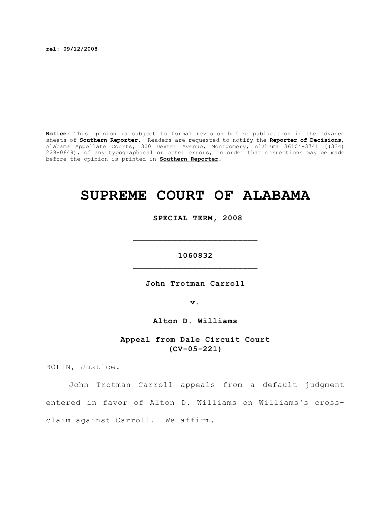**rel: 09/12/2008**

**Notice:** This opinion is subject to formal revision before publication in the advance sheets of **Southern Reporter**. Readers are requested to notify the **Reporter of Decisions**, Alabama Appellate Courts, 300 Dexter Avenue, Montgomery, Alabama 36104-3741 ((334) 229-0649), of any typographical or other errors, in order that corrections may be made before the opinion is printed in **Southern Reporter**.

# **SUPREME COURT OF ALABAMA**

 **SPECIAL TERM, 2008**

**1060832 \_\_\_\_\_\_\_\_\_\_\_\_\_\_\_\_\_\_\_\_\_\_\_\_\_**

**\_\_\_\_\_\_\_\_\_\_\_\_\_\_\_\_\_\_\_\_\_\_\_\_\_**

**John Trotman Carroll**

**v.**

**Alton D. Williams**

**Appeal from Dale Circuit Court (CV-05-221)**

BOLIN, Justice.

John Trotman Carroll appeals from a default judgment entered in favor of Alton D. Williams on Williams's crossclaim against Carroll. We affirm.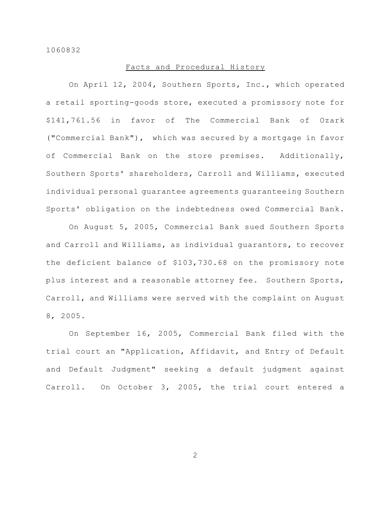## Facts and Procedural History

On April 12, 2004, Southern Sports, Inc., which operated a retail sporting-goods store, executed a promissory note for \$141,761.56 in favor of The Commercial Bank of Ozark ("Commercial Bank"), which was secured by a mortgage in favor of Commercial Bank on the store premises. Additionally, Southern Sports' shareholders, Carroll and Williams, executed individual personal guarantee agreements guaranteeing Southern Sports' obligation on the indebtedness owed Commercial Bank.

On August 5, 2005, Commercial Bank sued Southern Sports and Carroll and Williams, as individual guarantors, to recover the deficient balance of \$103,730.68 on the promissory note plus interest and a reasonable attorney fee. Southern Sports, Carroll, and Williams were served with the complaint on August 8, 2005.

On September 16, 2005, Commercial Bank filed with the trial court an "Application, Affidavit, and Entry of Default and Default Judgment" seeking a default judgment against Carroll. On October 3, 2005, the trial court entered a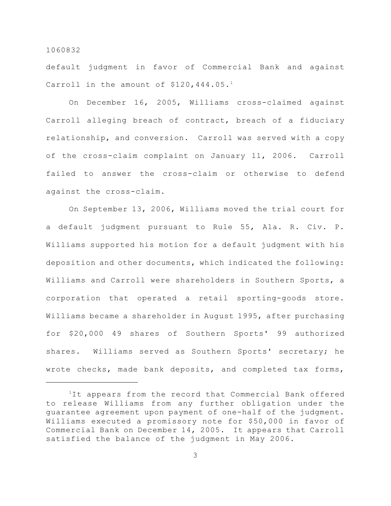default judgment in favor of Commercial Bank and against Carroll in the amount of  $$120,444.05.^1$ 

On December 16, 2005, Williams cross-claimed against Carroll alleging breach of contract, breach of a fiduciary relationship, and conversion. Carroll was served with a copy of the cross-claim complaint on January 11, 2006. Carroll failed to answer the cross-claim or otherwise to defend against the cross-claim.

On September 13, 2006, Williams moved the trial court for a default judgment pursuant to Rule 55, Ala. R. Civ. P. Williams supported his motion for a default judgment with his deposition and other documents, which indicated the following: Williams and Carroll were shareholders in Southern Sports, a corporation that operated a retail sporting-goods store. Williams became a shareholder in August 1995, after purchasing for \$20,000 49 shares of Southern Sports' 99 authorized shares. Williams served as Southern Sports' secretary; he wrote checks, made bank deposits, and completed tax forms,

 $1$ It appears from the record that Commercial Bank offered to release Williams from any further obligation under the guarantee agreement upon payment of one-half of the judgment. Williams executed a promissory note for \$50,000 in favor of Commercial Bank on December 14, 2005. It appears that Carroll satisfied the balance of the judgment in May 2006.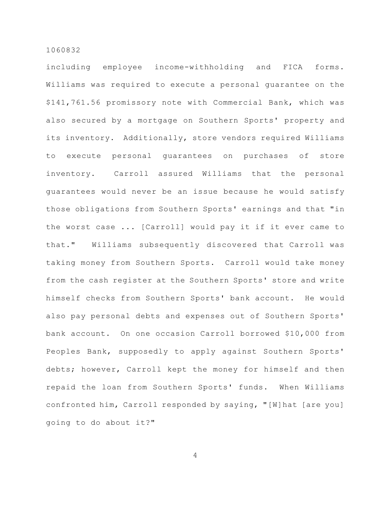including employee income-withholding and FICA forms. Williams was required to execute a personal guarantee on the \$141,761.56 promissory note with Commercial Bank, which was also secured by a mortgage on Southern Sports' property and its inventory. Additionally, store vendors required Williams to execute personal guarantees on purchases of store inventory. Carroll assured Williams that the personal guarantees would never be an issue because he would satisfy those obligations from Southern Sports' earnings and that "in the worst case ... [Carroll] would pay it if it ever came to that." Williams subsequently discovered that Carroll was taking money from Southern Sports. Carroll would take money from the cash register at the Southern Sports' store and write himself checks from Southern Sports' bank account. He would also pay personal debts and expenses out of Southern Sports' bank account. On one occasion Carroll borrowed \$10,000 from Peoples Bank, supposedly to apply against Southern Sports' debts; however, Carroll kept the money for himself and then repaid the loan from Southern Sports' funds. When Williams confronted him, Carroll responded by saying, "[W]hat [are you] going to do about it?"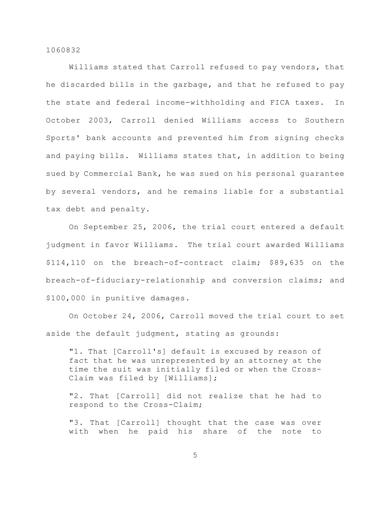Williams stated that Carroll refused to pay vendors, that he discarded bills in the garbage, and that he refused to pay the state and federal income-withholding and FICA taxes. In October 2003, Carroll denied Williams access to Southern Sports' bank accounts and prevented him from signing checks and paying bills. Williams states that, in addition to being sued by Commercial Bank, he was sued on his personal guarantee by several vendors, and he remains liable for a substantial tax debt and penalty.

On September 25, 2006, the trial court entered a default judgment in favor Williams. The trial court awarded Williams \$114,110 on the breach-of-contract claim; \$89,635 on the breach-of-fiduciary-relationship and conversion claims; and \$100,000 in punitive damages.

On October 24, 2006, Carroll moved the trial court to set aside the default judgment, stating as grounds:

"1. That [Carroll's] default is excused by reason of fact that he was unrepresented by an attorney at the time the suit was initially filed or when the Cross-Claim was filed by [Williams];

"2. That [Carroll] did not realize that he had to respond to the Cross-Claim;

"3. That [Carroll] thought that the case was over with when he paid his share of the note to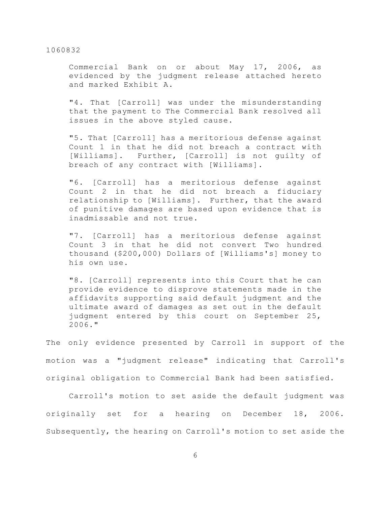Commercial Bank on or about May 17, 2006, as evidenced by the judgment release attached hereto and marked Exhibit A.

"4. That [Carroll] was under the misunderstanding that the payment to The Commercial Bank resolved all issues in the above styled cause.

"5. That [Carroll] has a meritorious defense against Count 1 in that he did not breach a contract with [Williams]. Further, [Carroll] is not guilty of breach of any contract with [Williams].

"6. [Carroll] has a meritorious defense against Count 2 in that he did not breach a fiduciary relationship to [Williams]. Further, that the award of punitive damages are based upon evidence that is inadmissable and not true.

"7. [Carroll] has a meritorious defense against Count 3 in that he did not convert Two hundred thousand (\$200,000) Dollars of [Williams's] money to his own use.

"8. [Carroll] represents into this Court that he can provide evidence to disprove statements made in the affidavits supporting said default judgment and the ultimate award of damages as set out in the default judgment entered by this court on September 25, 2006."

The only evidence presented by Carroll in support of the motion was a "judgment release" indicating that Carroll's original obligation to Commercial Bank had been satisfied.

Carroll's motion to set aside the default judgment was originally set for a hearing on December 18, 2006. Subsequently, the hearing on Carroll's motion to set aside the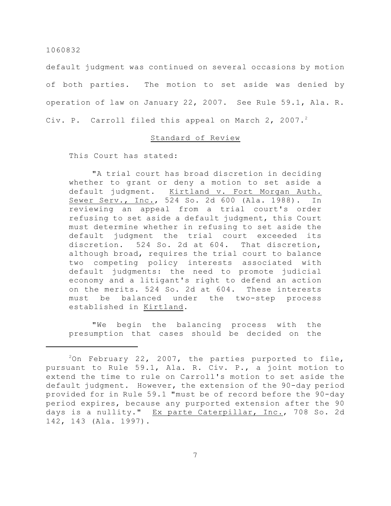default judgment was continued on several occasions by motion of both parties. The motion to set aside was denied by operation of law on January 22, 2007. See Rule 59.1, Ala. R. Civ. P. Carroll filed this appeal on March 2, 2007. $^2$ 

# Standard of Review

This Court has stated:

"A trial court has broad discretion in deciding whether to grant or deny a motion to set aside a default judgment. Kirtland v. Fort Morgan Auth. Sewer Serv., Inc., 524 So. 2d 600 (Ala. 1988). In reviewing an appeal from a trial court's order refusing to set aside a default judgment, this Court must determine whether in refusing to set aside the default judgment the trial court exceeded its discretion. 524 So. 2d at 604. That discretion, although broad, requires the trial court to balance two competing policy interests associated with default judgments: the need to promote judicial economy and a litigant's right to defend an action on the merits. 524 So. 2d at 604. These interests must be balanced under the two-step process established in Kirtland.

"We begin the balancing process with the presumption that cases should be decided on the

 $20n$  February 22, 2007, the parties purported to file, pursuant to Rule 59.1, Ala. R. Civ. P., a joint motion to extend the time to rule on Carroll's motion to set aside the default judgment. However, the extension of the 90-day period provided for in Rule 59.1 "must be of record before the 90-day period expires, because any purported extension after the 90 days is a nullity." Ex parte Caterpillar, Inc., 708 So. 2d 142, 143 (Ala. 1997).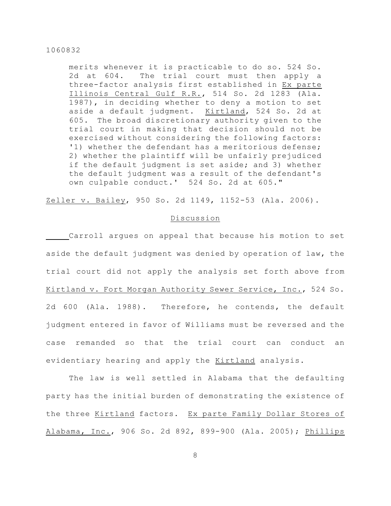merits whenever it is practicable to do so. 524 So. 2d at 604. The trial court must then apply a three-factor analysis first established in Ex parte Illinois Central Gulf R.R., 514 So. 2d 1283 (Ala. 1987), in deciding whether to deny a motion to set aside a default judgment. Kirtland, 524 So. 2d at 605. The broad discretionary authority given to the trial court in making that decision should not be exercised without considering the following factors: '1) whether the defendant has a meritorious defense; 2) whether the plaintiff will be unfairly prejudiced if the default judgment is set aside; and 3) whether the default judgment was a result of the defendant's own culpable conduct.' 524 So. 2d at 605."

Zeller v. Bailey, 950 So. 2d 1149, 1152-53 (Ala. 2006).

# Discussion

Carroll argues on appeal that because his motion to set aside the default judgment was denied by operation of law, the trial court did not apply the analysis set forth above from Kirtland v. Fort Morgan Authority Sewer Service, Inc., 524 So. 2d 600 (Ala. 1988). Therefore, he contends, the default judgment entered in favor of Williams must be reversed and the case remanded so that the trial court can conduct an evidentiary hearing and apply the Kirtland analysis.

The law is well settled in Alabama that the defaulting party has the initial burden of demonstrating the existence of the three Kirtland factors. Ex parte Family Dollar Stores of Alabama, Inc., 906 So. 2d 892, 899-900 (Ala. 2005); Phillips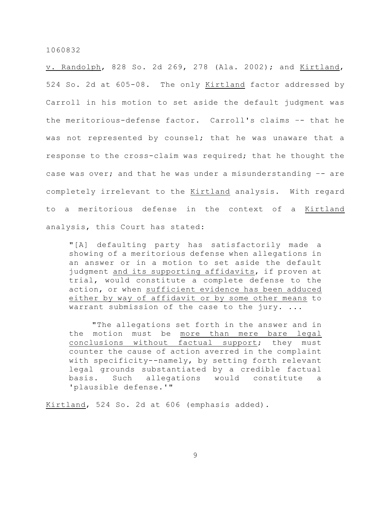v. Randolph, 828 So. 2d 269, 278 (Ala. 2002); and Kirtland, 524 So. 2d at 605-08. The only Kirtland factor addressed by Carroll in his motion to set aside the default judgment was the meritorious-defense factor. Carroll's claims –- that he was not represented by counsel; that he was unaware that a response to the cross-claim was required; that he thought the case was over; and that he was under a misunderstanding –- are completely irrelevant to the Kirtland analysis. With regard to a meritorious defense in the context of a Kirtland analysis, this Court has stated:

"[A] defaulting party has satisfactorily made a showing of a meritorious defense when allegations in an answer or in a motion to set aside the default judgment and its supporting affidavits, if proven at trial, would constitute a complete defense to the action, or when sufficient evidence has been adduced either by way of affidavit or by some other means to warrant submission of the case to the jury. ...

"The allegations set forth in the answer and in the motion must be more than mere bare legal conclusions without factual support; they must counter the cause of action averred in the complaint with specificity--namely, by setting forth relevant legal grounds substantiated by a credible factual basis. Such allegations would constitute a 'plausible defense.'"

Kirtland, 524 So. 2d at 606 (emphasis added).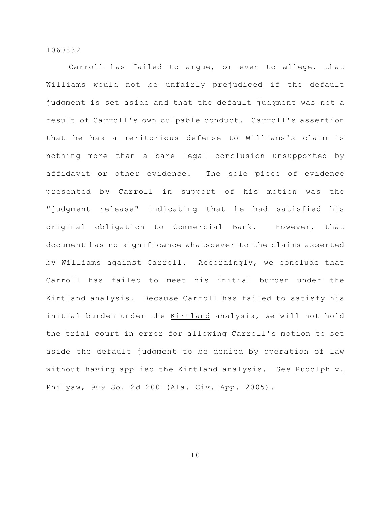Carroll has failed to argue, or even to allege, that Williams would not be unfairly prejudiced if the default judgment is set aside and that the default judgment was not a result of Carroll's own culpable conduct. Carroll's assertion that he has a meritorious defense to Williams's claim is nothing more than a bare legal conclusion unsupported by affidavit or other evidence. The sole piece of evidence presented by Carroll in support of his motion was the "judgment release" indicating that he had satisfied his original obligation to Commercial Bank. However, that document has no significance whatsoever to the claims asserted by Williams against Carroll. Accordingly, we conclude that Carroll has failed to meet his initial burden under the Kirtland analysis. Because Carroll has failed to satisfy his initial burden under the Kirtland analysis, we will not hold the trial court in error for allowing Carroll's motion to set aside the default judgment to be denied by operation of law without having applied the Kirtland analysis. See Rudolph v. Philyaw, 909 So. 2d 200 (Ala. Civ. App. 2005).